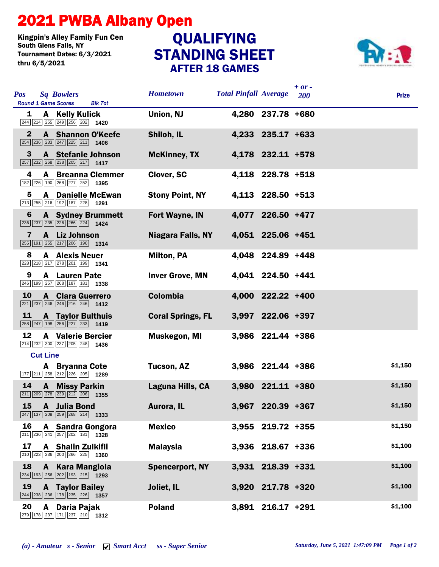## 2021 PWBA Albany Open

Kingpin's Alley Family Fun Cen<br>South Glens Falls, NY **QUALIFYING** Tournament Dates: 6/3/2021 thru 6/5/2021

## STANDING SHEET AFTER 18 GAMES



| <b>Pos</b>   | <b>Sq Bowlers</b><br><b>Round 1 Game Scores</b><br><b>Blk Tot</b>                                                           | <b>Hometown</b>          | <b>Total Pinfall Average</b> |                   | $+ or -$<br>200 | <b>Prize</b> |
|--------------|-----------------------------------------------------------------------------------------------------------------------------|--------------------------|------------------------------|-------------------|-----------------|--------------|
| 1            | A Kelly Kulick<br>$\boxed{244}$ $\boxed{214}$ $\boxed{255}$ $\boxed{249}$ $\boxed{256}$ $\boxed{202}$ <b>1420</b>           | Union, NJ                |                              | 4,280 237.78 +680 |                 |              |
| $\mathbf{2}$ | <b>A</b> Shannon O'Keefe<br>$\boxed{254}$ $\boxed{236}$ $\boxed{233}$ $\boxed{247}$ $\boxed{225}$ $\boxed{211}$ <b>1406</b> | Shiloh, IL               |                              | 4,233 235.17 +633 |                 |              |
| 3            | A Stefanie Johnson<br>$\boxed{257}$ $\boxed{232}$ $\boxed{268}$ $\boxed{238}$ $\boxed{205}$ $\boxed{217}$ 1417              | <b>McKinney, TX</b>      |                              | 4,178 232.11 +578 |                 |              |
| 4            | <b>A</b> Breanna Clemmer<br>182 226 190 268 277 252 1395                                                                    | Clover, SC               |                              | 4,118 228.78 +518 |                 |              |
| 5            | <b>A</b> Danielle McEwan<br>$\boxed{213}$ $\boxed{255}$ $\boxed{216}$ $\boxed{192}$ $\boxed{187}$ $\boxed{228}$ <b>1291</b> | <b>Stony Point, NY</b>   |                              | 4,113 228.50 +513 |                 |              |
| 6            | <b>A</b> Sydney Brummett<br>$\boxed{236}$ $\boxed{237}$ $\boxed{235}$ $\boxed{226}$ $\boxed{266}$ $\boxed{224}$ <b>1424</b> | Fort Wayne, IN           |                              | 4,077 226.50 +477 |                 |              |
| 7            | A Liz Johnson<br>255 191 255 217 206 190 1314                                                                               | Niagara Falls, NY        |                              | 4,051 225.06 +451 |                 |              |
| 8            | <b>A</b> Alexis Neuer<br>$\boxed{228}$ $\boxed{218}$ $\boxed{217}$ $\boxed{278}$ $\boxed{201}$ $\boxed{199}$ <b>1341</b>    | <b>Milton, PA</b>        |                              | 4,048 224.89 +448 |                 |              |
| 9            | <b>A</b> Lauren Pate<br>246 199 257 268 187 181 1338                                                                        | <b>Inver Grove, MN</b>   |                              | 4,041 224.50 +441 |                 |              |
| <b>10</b>    | <b>A</b> Clara Guerrero<br>221 237 246 246 216 246 1412                                                                     | <b>Colombia</b>          |                              | 4,000 222.22 +400 |                 |              |
| 11           | <b>A</b> Taylor Bulthuis<br>258 247 198 256 227 233 1419                                                                    | <b>Coral Springs, FL</b> |                              | 3,997 222.06 +397 |                 |              |
| 12           | <b>A</b> Valerie Bercier<br>$\boxed{214}$ $\boxed{232}$ $\boxed{300}$ $\boxed{237}$ $\boxed{205}$ $\boxed{248}$ <b>1436</b> | <b>Muskegon, MI</b>      |                              | 3,986 221.44 +386 |                 |              |
|              | <b>Cut Line</b>                                                                                                             |                          |                              |                   |                 |              |
|              | A Bryanna Cote<br>177 211 258 212 226 205 1289                                                                              | Tucson, AZ               |                              | 3,986 221.44 +386 |                 | \$1,150      |
| 14           | <b>A</b> Missy Parkin<br>$\boxed{211}$ $\boxed{209}$ $\boxed{278}$ $\boxed{239}$ $\boxed{212}$ $\boxed{206}$ <b>1355</b>    | Laguna Hills, CA         |                              | 3,980 221.11 +380 |                 | \$1,150      |
| 15           | A Julia Bond<br>$\boxed{247}$ 137 208 259 268 214 1333                                                                      | Aurora, IL               |                              | 3,967 220.39 +367 |                 | \$1,150      |
| 16           | A Sandra Gongora<br>$\boxed{211}$ $\boxed{236}$ $\boxed{241}$ $\boxed{257}$ $\boxed{202}$ $\boxed{181}$ <b>1328</b>         | <b>Mexico</b>            |                              | 3,955 219.72 +355 |                 | \$1,150      |
| 17           | <b>A</b> Shalin Zulkifli<br>210 223 236 200 266 225 1360                                                                    | <b>Malaysia</b>          |                              | 3,936 218.67 +336 |                 | \$1,100      |
| 18           | A Kara Mangiola<br>$\boxed{234}$ 193 256 202 193 215 1293                                                                   | <b>Spencerport, NY</b>   |                              | 3,931 218.39 +331 |                 | \$1,100      |
| 19           | <b>A</b> Taylor Bailey<br>244 238 236 178 235 226 1357                                                                      | Joliet, IL               |                              | 3,920 217.78 +320 |                 | \$1,100      |
| 20           | A<br>Daria Pajak<br>$\boxed{279}\boxed{178}\boxed{237}\boxed{171}\boxed{237}\boxed{210}\boxed{1312}$                        | <b>Poland</b>            |                              | 3,891 216.17 +291 |                 | \$1,100      |